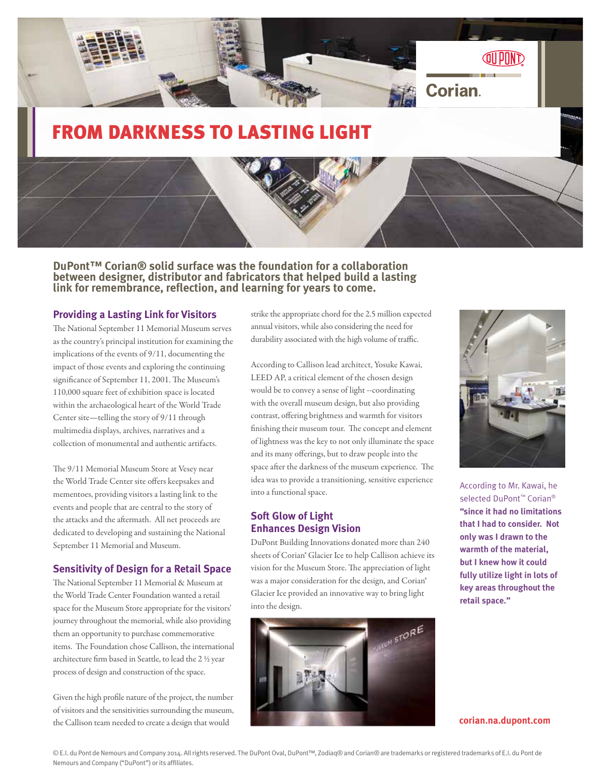

# FROM DARKNESS TO LASTING LIGHT

**DuPont™ Corian® solid surface was the foundation for a collaboration between designer, distributor and fabricators that helped build a lasting link for remembrance, reflection, and learning for years to come.**

#### **Providing a Lasting Link for Visitors**

The National September 11 Memorial Museum serves as the country's principal institution for examining the implications of the events of 9/11, documenting the impact of those events and exploring the continuing significance of September 11, 2001. The Museum's 110,000 square feet of exhibition space is located within the archaeological heart of the World Trade Center site—telling the story of 9/11 through multimedia displays, archives, narratives and a collection of monumental and authentic artifacts.

The 9/11 Memorial Museum Store at Vesey near the World Trade Center site offers keepsakes and mementoes, providing visitors a lasting link to the events and people that are central to the story of the attacks and the aftermath. All net proceeds are dedicated to developing and sustaining the National September 11 Memorial and Museum.

#### **Sensitivity of Design for a Retail Space**

The National September 11 Memorial & Museum at the World Trade Center Foundation wanted a retail space for the Museum Store appropriate for the visitors' journey throughout the memorial, while also providing them an opportunity to purchase commemorative items. The Foundation chose Callison, the international architecture firm based in Seattle, to lead the 2 ½ year process of design and construction of the space.

Given the high profile nature of the project, the number of visitors and the sensitivities surrounding the museum, the Callison team needed to create a design that would

strike the appropriate chord for the 2.5 million expected annual visitors, while also considering the need for durability associated with the high volume of traffic.

According to Callison lead architect, Yosuke Kawai, LEED AP, a critical element of the chosen design would be to convey a sense of light --coordinating with the overall museum design, but also providing contrast, offering brightness and warmth for visitors finishing their museum tour. The concept and element of lightness was the key to not only illuminate the space and its many offerings, but to draw people into the space after the darkness of the museum experience. The idea was to provide a transitioning, sensitive experience into a functional space.

# **Soft Glow of Light Enhances Design Vision**

DuPont Building Innovations donated more than 240 sheets of Corian® Glacier Ice to help Callison achieve its vision for the Museum Store. The appreciation of light was a major consideration for the design, and Corian® Glacier Ice provided an innovative way to bring light into the design.





According to Mr. Kawai, he selected DuPont<sup>™</sup> Corian<sup>®</sup> **"since it had no limitations that I had to consider. Not only was I drawn to the warmth of the material, but I knew how it could fully utilize light in lots of key areas throughout the retail space."**

**corian.na.dupont.com**

© E.I. du Pont de Nemours and Company 2014. All rights reserved. The DuPont Oval, DuPont™, Zodiaq® and Corian® are trademarks or registered trademarks of E.I. du Pont de Nemours and Company ("DuPont") or its affiliates.